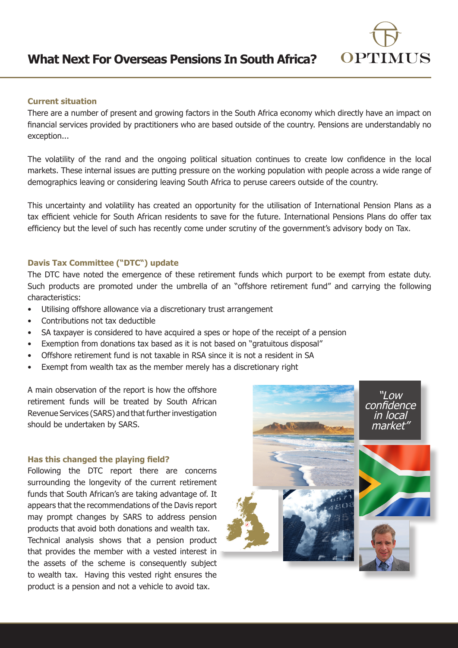

# **What Next For Overseas Pensions In South Africa?**

# **Current situation**

There are a number of present and growing factors in the South Africa economy which directly have an impact on financial services provided by practitioners who are based outside of the country. Pensions are understandably no exception...

The volatility of the rand and the ongoing political situation continues to create low confidence in the local markets. These internal issues are putting pressure on the working population with people across a wide range of demographics leaving or considering leaving South Africa to peruse careers outside of the country.

This uncertainty and volatility has created an opportunity for the utilisation of International Pension Plans as a tax efficient vehicle for South African residents to save for the future. International Pensions Plans do offer tax efficiency but the level of such has recently come under scrutiny of the government's advisory body on Tax.

## **Davis Tax Committee ("DTC") update**

The DTC have noted the emergence of these retirement funds which purport to be exempt from estate duty. Such products are promoted under the umbrella of an "offshore retirement fund" and carrying the following characteristics:

- Utilising offshore allowance via a discretionary trust arrangement
- Contributions not tax deductible
- SA taxpayer is considered to have acquired a spes or hope of the receipt of a pension
- Exemption from donations tax based as it is not based on "gratuitous disposal"
- Offshore retirement fund is not taxable in RSA since it is not a resident in SA
- Exempt from wealth tax as the member merely has a discretionary right

A main observation of the report is how the offshore retirement funds will be treated by South African Revenue Services (SARS) and that further investigation should be undertaken by SARS.

#### **Has this changed the playing field?**

Following the DTC report there are concerns surrounding the longevity of the current retirement funds that South African's are taking advantage of. It appears that the recommendations of the Davis report may prompt changes by SARS to address pension products that avoid both donations and wealth tax. Technical analysis shows that a pension product that provides the member with a vested interest in the assets of the scheme is consequently subject to wealth tax. Having this vested right ensures the product is a pension and not a vehicle to avoid tax.